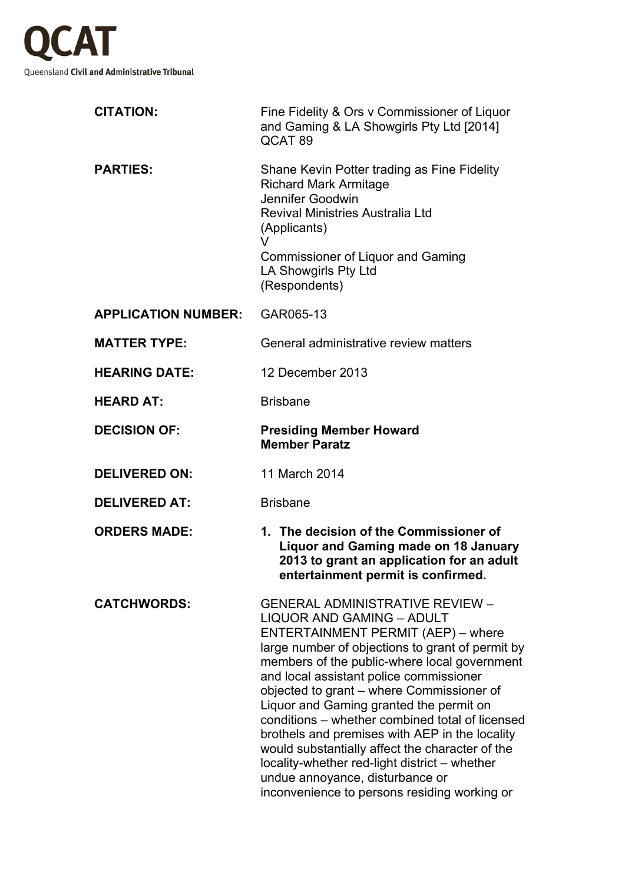

| <b>CITATION:</b>           | Fine Fidelity & Ors v Commissioner of Liquor<br>and Gaming & LA Showgirls Pty Ltd [2014]<br>QCAT <sub>89</sub>                                                                                                                                                                                                                                                                                                                                                                                                                                                                                                                                      |
|----------------------------|-----------------------------------------------------------------------------------------------------------------------------------------------------------------------------------------------------------------------------------------------------------------------------------------------------------------------------------------------------------------------------------------------------------------------------------------------------------------------------------------------------------------------------------------------------------------------------------------------------------------------------------------------------|
| <b>PARTIES:</b>            | Shane Kevin Potter trading as Fine Fidelity<br><b>Richard Mark Armitage</b><br>Jennifer Goodwin<br><b>Revival Ministries Australia Ltd</b><br>(Applicants)<br>V<br>Commissioner of Liquor and Gaming<br>LA Showgirls Pty Ltd<br>(Respondents)                                                                                                                                                                                                                                                                                                                                                                                                       |
| <b>APPLICATION NUMBER:</b> | GAR065-13                                                                                                                                                                                                                                                                                                                                                                                                                                                                                                                                                                                                                                           |
| <b>MATTER TYPE:</b>        | General administrative review matters                                                                                                                                                                                                                                                                                                                                                                                                                                                                                                                                                                                                               |
| <b>HEARING DATE:</b>       | 12 December 2013                                                                                                                                                                                                                                                                                                                                                                                                                                                                                                                                                                                                                                    |
| <b>HEARD AT:</b>           | <b>Brisbane</b>                                                                                                                                                                                                                                                                                                                                                                                                                                                                                                                                                                                                                                     |
| <b>DECISION OF:</b>        | <b>Presiding Member Howard</b><br><b>Member Paratz</b>                                                                                                                                                                                                                                                                                                                                                                                                                                                                                                                                                                                              |
| <b>DELIVERED ON:</b>       | 11 March 2014                                                                                                                                                                                                                                                                                                                                                                                                                                                                                                                                                                                                                                       |
| <b>DELIVERED AT:</b>       | <b>Brisbane</b>                                                                                                                                                                                                                                                                                                                                                                                                                                                                                                                                                                                                                                     |
| <b>ORDERS MADE:</b>        | 1. The decision of the Commissioner of<br><b>Liquor and Gaming made on 18 January</b><br>2013 to grant an application for an adult<br>entertainment permit is confirmed.                                                                                                                                                                                                                                                                                                                                                                                                                                                                            |
| <b>CATCHWORDS:</b>         | <b>GENERAL ADMINISTRATIVE REVIEW -</b><br><b>LIQUOR AND GAMING - ADULT</b><br>ENTERTAINMENT PERMIT (AEP) - where<br>large number of objections to grant of permit by<br>members of the public-where local government<br>and local assistant police commissioner<br>objected to grant – where Commissioner of<br>Liquor and Gaming granted the permit on<br>conditions - whether combined total of licensed<br>brothels and premises with AEP in the locality<br>would substantially affect the character of the<br>locality-whether red-light district - whether<br>undue annoyance, disturbance or<br>inconvenience to persons residing working or |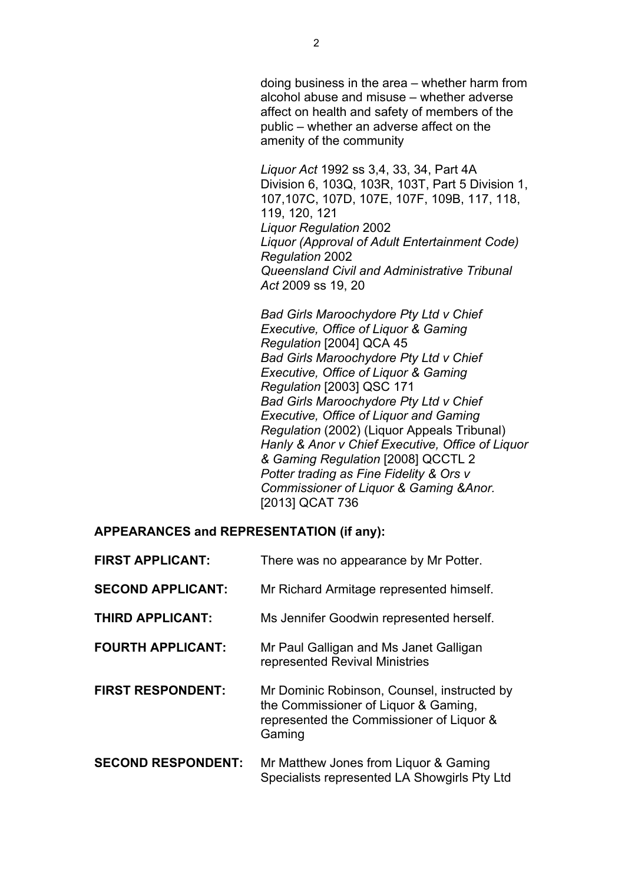doing business in the area – whether harm from alcohol abuse and misuse – whether adverse affect on health and safety of members of the public – whether an adverse affect on the amenity of the community

*Liquor Act* 1992 ss 3,4, 33, 34, Part 4A Division 6, 103Q, 103R, 103T, Part 5 Division 1, 107,107C, 107D, 107E, 107F, 109B, 117, 118, 119, 120, 121 *Liquor Regulation* 2002 *Liquor (Approval of Adult Entertainment Code) Regulation* 2002 *Queensland Civil and Administrative Tribunal Act* 2009 ss 19, 20

*Bad Girls Maroochydore Pty Ltd v Chief Executive, Office of Liquor & Gaming Regulation* [2004] QCA 45 *Bad Girls Maroochydore Pty Ltd v Chief Executive, Office of Liquor & Gaming Regulation* [2003] QSC 171 *Bad Girls Maroochydore Pty Ltd v Chief Executive, Office of Liquor and Gaming Regulation* (2002) (Liquor Appeals Tribunal) *Hanly & Anor v Chief Executive, Office of Liquor & Gaming Regulation* [2008] QCCTL 2 *Potter trading as Fine Fidelity & Ors v Commissioner of Liquor & Gaming &Anor.* [2013] QCAT 736

#### **APPEARANCES and REPRESENTATION (if any):**

| <b>FIRST APPLICANT:</b>   | There was no appearance by Mr Potter.                                                                                                     |
|---------------------------|-------------------------------------------------------------------------------------------------------------------------------------------|
| <b>SECOND APPLICANT:</b>  | Mr Richard Armitage represented himself.                                                                                                  |
| <b>THIRD APPLICANT:</b>   | Ms Jennifer Goodwin represented herself.                                                                                                  |
| <b>FOURTH APPLICANT:</b>  | Mr Paul Galligan and Ms Janet Galligan<br>represented Revival Ministries                                                                  |
| <b>FIRST RESPONDENT:</b>  | Mr Dominic Robinson, Counsel, instructed by<br>the Commissioner of Liquor & Gaming,<br>represented the Commissioner of Liquor &<br>Gaming |
| <b>SECOND RESPONDENT:</b> | Mr Matthew Jones from Liquor & Gaming<br>Specialists represented LA Showgirls Pty Ltd                                                     |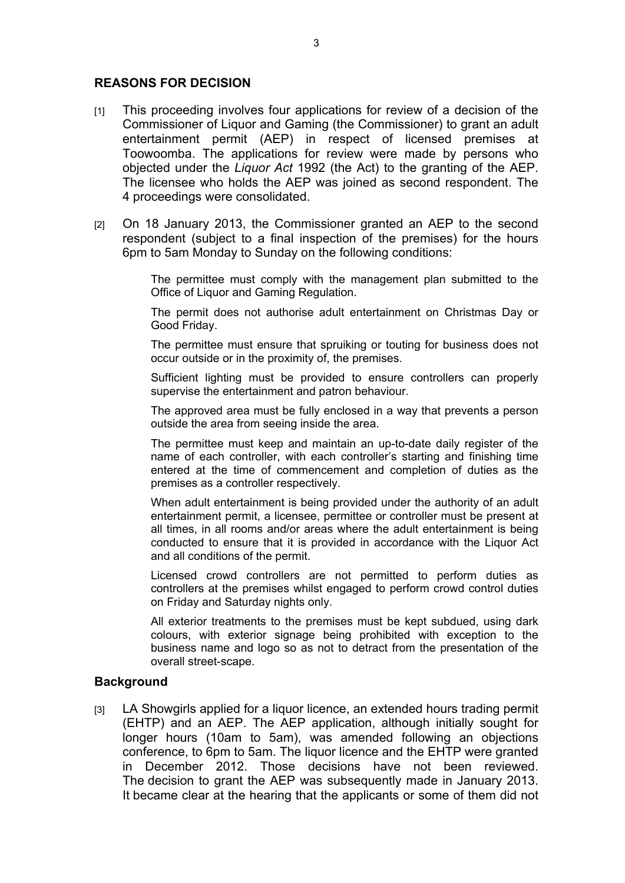### **REASONS FOR DECISION**

- [1] This proceeding involves four applications for review of a decision of the Commissioner of Liquor and Gaming (the Commissioner) to grant an adult entertainment permit (AEP) in respect of licensed premises at Toowoomba. The applications for review were made by persons who objected under the *Liquor Act* 1992 (the Act) to the granting of the AEP. The licensee who holds the AEP was joined as second respondent. The 4 proceedings were consolidated.
- [2] On 18 January 2013, the Commissioner granted an AEP to the second respondent (subject to a final inspection of the premises) for the hours 6pm to 5am Monday to Sunday on the following conditions:

The permittee must comply with the management plan submitted to the Office of Liquor and Gaming Regulation.

The permit does not authorise adult entertainment on Christmas Day or Good Friday.

The permittee must ensure that spruiking or touting for business does not occur outside or in the proximity of, the premises.

Sufficient lighting must be provided to ensure controllers can properly supervise the entertainment and patron behaviour.

The approved area must be fully enclosed in a way that prevents a person outside the area from seeing inside the area.

The permittee must keep and maintain an up-to-date daily register of the name of each controller, with each controller's starting and finishing time entered at the time of commencement and completion of duties as the premises as a controller respectively.

When adult entertainment is being provided under the authority of an adult entertainment permit, a licensee, permittee or controller must be present at all times, in all rooms and/or areas where the adult entertainment is being conducted to ensure that it is provided in accordance with the Liquor Act and all conditions of the permit.

Licensed crowd controllers are not permitted to perform duties as controllers at the premises whilst engaged to perform crowd control duties on Friday and Saturday nights only.

All exterior treatments to the premises must be kept subdued, using dark colours, with exterior signage being prohibited with exception to the business name and logo so as not to detract from the presentation of the overall street-scape.

#### **Background**

[3] LA Showgirls applied for a liquor licence, an extended hours trading permit (EHTP) and an AEP. The AEP application, although initially sought for longer hours (10am to 5am), was amended following an objections conference, to 6pm to 5am. The liquor licence and the EHTP were granted in December 2012. Those decisions have not been reviewed. The decision to grant the AEP was subsequently made in January 2013. It became clear at the hearing that the applicants or some of them did not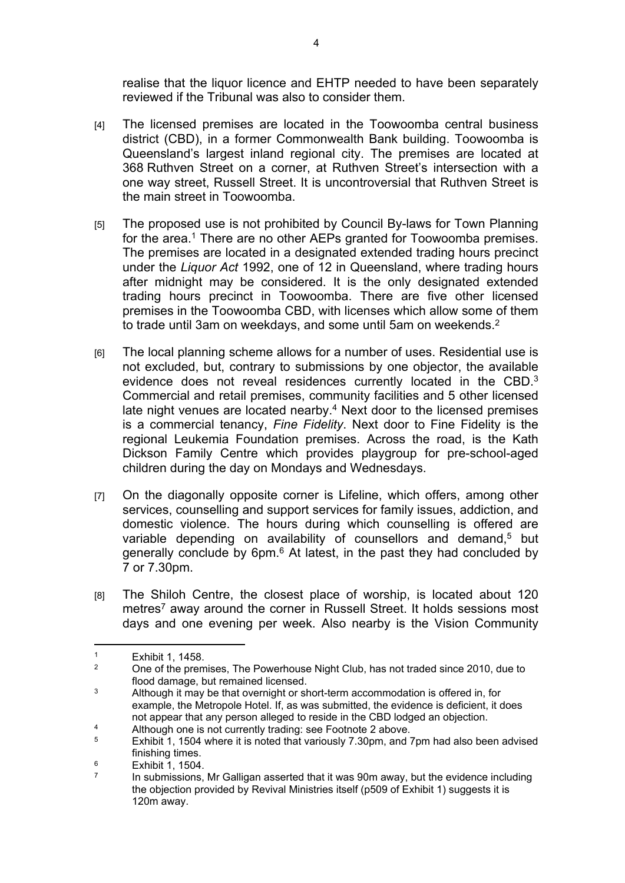realise that the liquor licence and EHTP needed to have been separately reviewed if the Tribunal was also to consider them.

- [4] The licensed premises are located in the Toowoomba central business district (CBD), in a former Commonwealth Bank building. Toowoomba is Queensland's largest inland regional city. The premises are located at 368 Ruthven Street on a corner, at Ruthven Street's intersection with a one way street, Russell Street. It is uncontroversial that Ruthven Street is the main street in Toowoomba.
- [5] The proposed use is not prohibited by Council By-laws for Town Planning for the area.<sup>1</sup> There are no other AEPs granted for Toowoomba premises. The premises are located in a designated extended trading hours precinct under the *Liquor Act* 1992, one of 12 in Queensland, where trading hours after midnight may be considered. It is the only designated extended trading hours precinct in Toowoomba. There are five other licensed premises in the Toowoomba CBD, with licenses which allow some of them to trade until 3am on weekdays, and some until 5am on weekends.<sup>2</sup>
- [6] The local planning scheme allows for a number of uses. Residential use is not excluded, but, contrary to submissions by one objector, the available evidence does not reveal residences currently located in the CBD.<sup>3</sup> Commercial and retail premises, community facilities and 5 other licensed late night venues are located nearby.<sup>4</sup> Next door to the licensed premises is a commercial tenancy, *Fine Fidelity*. Next door to Fine Fidelity is the regional Leukemia Foundation premises. Across the road, is the Kath Dickson Family Centre which provides playgroup for pre-school-aged children during the day on Mondays and Wednesdays.
- [7] On the diagonally opposite corner is Lifeline, which offers, among other services, counselling and support services for family issues, addiction, and domestic violence. The hours during which counselling is offered are variable depending on availability of counsellors and demand,<sup>5</sup> but generally conclude by 6pm.<sup>6</sup> At latest, in the past they had concluded by 7 or 7.30pm.
- [8] The Shiloh Centre, the closest place of worship, is located about 120 metres<sup>7</sup> away around the corner in Russell Street. It holds sessions most days and one evening per week. Also nearby is the Vision Community

<sup>1</sup> Exhibit 1, 1458.

 $\overline{2}$  One of the premises, The Powerhouse Night Club, has not traded since 2010, due to flood damage, but remained licensed.

<sup>3</sup> Although it may be that overnight or short-term accommodation is offered in, for example, the Metropole Hotel. If, as was submitted, the evidence is deficient, it does not appear that any person alleged to reside in the CBD lodged an objection.

<sup>4</sup> Although one is not currently trading: see Footnote 2 above.

<sup>5</sup> Exhibit 1, 1504 where it is noted that variously 7.30pm, and 7pm had also been advised finishing times.

<sup>6</sup> Exhibit 1, 1504.

<sup>7</sup> In submissions, Mr Galligan asserted that it was 90m away, but the evidence including the objection provided by Revival Ministries itself (p509 of Exhibit 1) suggests it is 120m away.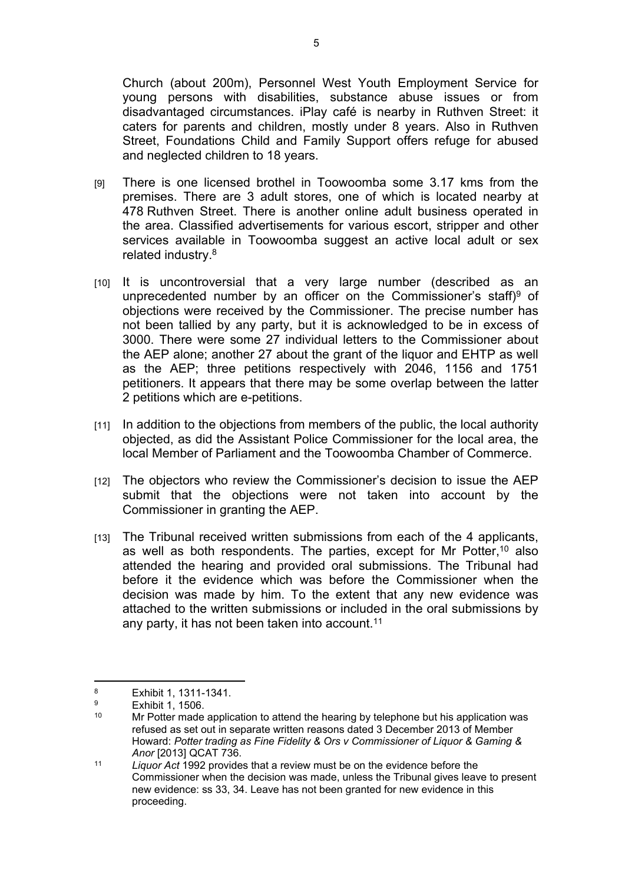Church (about 200m), Personnel West Youth Employment Service for young persons with disabilities, substance abuse issues or from disadvantaged circumstances. iPlay café is nearby in Ruthven Street: it caters for parents and children, mostly under 8 years. Also in Ruthven Street, Foundations Child and Family Support offers refuge for abused and neglected children to 18 years.

- [9] There is one licensed brothel in Toowoomba some 3.17 kms from the premises. There are 3 adult stores, one of which is located nearby at 478 Ruthven Street. There is another online adult business operated in the area. Classified advertisements for various escort, stripper and other services available in Toowoomba suggest an active local adult or sex related industry.<sup>8</sup>
- [10] It is uncontroversial that a very large number (described as an unprecedented number by an officer on the Commissioner's staff)<sup>9</sup> of objections were received by the Commissioner. The precise number has not been tallied by any party, but it is acknowledged to be in excess of 3000. There were some 27 individual letters to the Commissioner about the AEP alone; another 27 about the grant of the liquor and EHTP as well as the AEP; three petitions respectively with 2046, 1156 and 1751 petitioners. It appears that there may be some overlap between the latter 2 petitions which are e-petitions.
- [11] In addition to the objections from members of the public, the local authority objected, as did the Assistant Police Commissioner for the local area, the local Member of Parliament and the Toowoomba Chamber of Commerce.
- [12] The objectors who review the Commissioner's decision to issue the AEP submit that the objections were not taken into account by the Commissioner in granting the AEP.
- [13] The Tribunal received written submissions from each of the 4 applicants, as well as both respondents. The parties, except for Mr Potter,<sup>10</sup> also attended the hearing and provided oral submissions. The Tribunal had before it the evidence which was before the Commissioner when the decision was made by him. To the extent that any new evidence was attached to the written submissions or included in the oral submissions by any party, it has not been taken into account.<sup>11</sup>

<sup>8</sup> Exhibit 1, 1311-1341.

 $\alpha$  $\frac{9}{10}$  Exhibit 1, 1506.

Mr Potter made application to attend the hearing by telephone but his application was refused as set out in separate written reasons dated 3 December 2013 of Member Howard: *Potter trading as Fine Fidelity & Ors v Commissioner of Liquor & Gaming & Anor* [2013] QCAT 736.

<sup>11</sup> *Liquor Act* 1992 provides that a review must be on the evidence before the Commissioner when the decision was made, unless the Tribunal gives leave to present new evidence: ss 33, 34. Leave has not been granted for new evidence in this proceeding.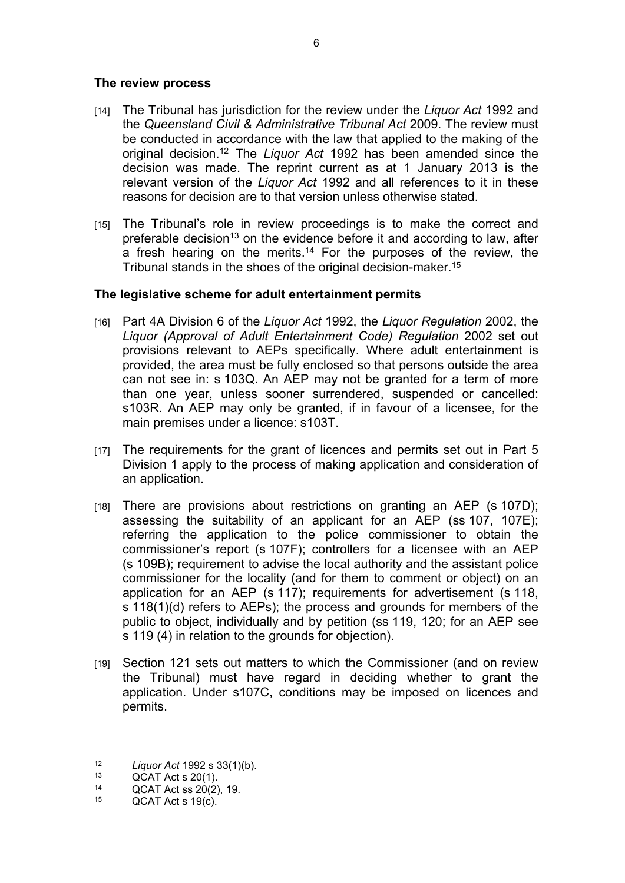#### **The review process**

- [14] The Tribunal has jurisdiction for the review under the *Liquor Act* 1992 and the *Queensland Civil & Administrative Tribunal Act* 2009. The review must be conducted in accordance with the law that applied to the making of the original decision.<sup>12</sup> The *Liquor Act* 1992 has been amended since the decision was made. The reprint current as at 1 January 2013 is the relevant version of the *Liquor Act* 1992 and all references to it in these reasons for decision are to that version unless otherwise stated.
- [15] The Tribunal's role in review proceedings is to make the correct and preferable decision<sup>13</sup> on the evidence before it and according to law, after a fresh hearing on the merits.<sup>14</sup> For the purposes of the review, the Tribunal stands in the shoes of the original decision-maker.<sup>15</sup>

## **The legislative scheme for adult entertainment permits**

- [16] Part 4A Division 6 of the *Liquor Act* 1992, the *Liquor Regulation* 2002, the *Liquor (Approval of Adult Entertainment Code) Regulation* 2002 set out provisions relevant to AEPs specifically. Where adult entertainment is provided, the area must be fully enclosed so that persons outside the area can not see in: s 103Q. An AEP may not be granted for a term of more than one year, unless sooner surrendered, suspended or cancelled: s103R. An AEP may only be granted, if in favour of a licensee, for the main premises under a licence: s103T.
- [17] The requirements for the grant of licences and permits set out in Part 5 Division 1 apply to the process of making application and consideration of an application.
- [18] There are provisions about restrictions on granting an AEP (s 107D); assessing the suitability of an applicant for an AEP (ss 107, 107E); referring the application to the police commissioner to obtain the commissioner's report (s 107F); controllers for a licensee with an AEP (s 109B); requirement to advise the local authority and the assistant police commissioner for the locality (and for them to comment or object) on an application for an AEP (s 117); requirements for advertisement (s 118, s 118(1)(d) refers to AEPs); the process and grounds for members of the public to object, individually and by petition (ss 119, 120; for an AEP see s 119 (4) in relation to the grounds for objection).
- [19] Section 121 sets out matters to which the Commissioner (and on review the Tribunal) must have regard in deciding whether to grant the application. Under s107C, conditions may be imposed on licences and permits.

<sup>12</sup> *Liquor Act* 1992 s 33(1)(b).

<sup>&</sup>lt;sup>13</sup> QCAT Act s 20(1).<br><sup>14</sup> OCAT Act ss 20(2)

<sup>14</sup> QCAT Act ss  $20(2)$ , 19.

 $QCAT$  Act s 19(c).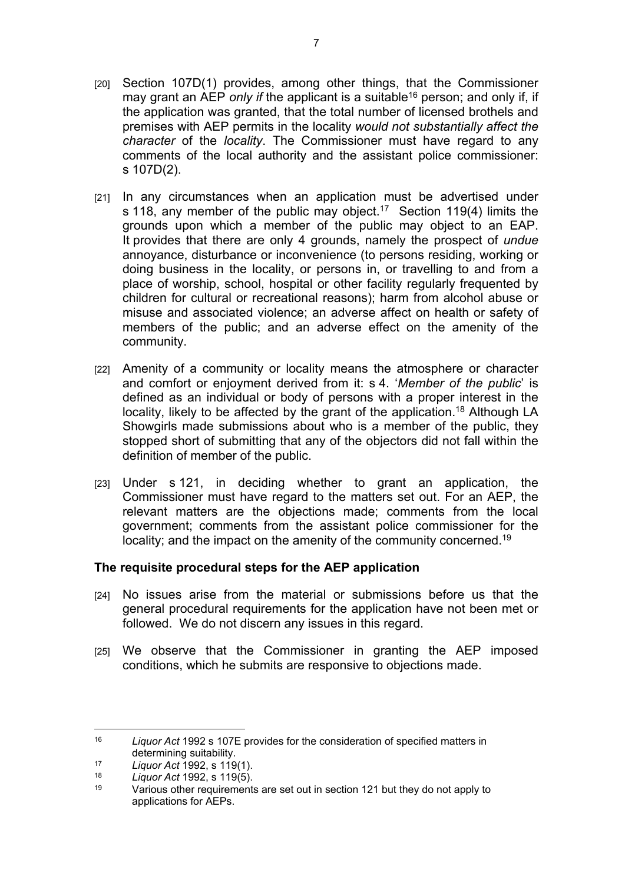- [20] Section 107D(1) provides, among other things, that the Commissioner may grant an AEP *only if* the applicant is a suitable<sup>16</sup> person; and only if, if the application was granted, that the total number of licensed brothels and premises with AEP permits in the locality *would not substantially affect the character* of the *locality*. The Commissioner must have regard to any comments of the local authority and the assistant police commissioner: s 107D(2).
- [21] In any circumstances when an application must be advertised under s 118, any member of the public may object.<sup>17</sup> Section 119(4) limits the grounds upon which a member of the public may object to an EAP. It provides that there are only 4 grounds, namely the prospect of *undue*  annoyance, disturbance or inconvenience (to persons residing, working or doing business in the locality, or persons in, or travelling to and from a place of worship, school, hospital or other facility regularly frequented by children for cultural or recreational reasons); harm from alcohol abuse or misuse and associated violence; an adverse affect on health or safety of members of the public; and an adverse effect on the amenity of the community.
- [22] Amenity of a community or locality means the atmosphere or character and comfort or enjoyment derived from it: s 4. '*Member of the public*' is defined as an individual or body of persons with a proper interest in the locality, likely to be affected by the grant of the application.<sup>18</sup> Although LA Showgirls made submissions about who is a member of the public, they stopped short of submitting that any of the objectors did not fall within the definition of member of the public.
- [23] Under s 121, in deciding whether to grant an application, the Commissioner must have regard to the matters set out. For an AEP, the relevant matters are the objections made; comments from the local government; comments from the assistant police commissioner for the locality; and the impact on the amenity of the community concerned.<sup>19</sup>

## **The requisite procedural steps for the AEP application**

- [24] No issues arise from the material or submissions before us that the general procedural requirements for the application have not been met or followed. We do not discern any issues in this regard.
- [25] We observe that the Commissioner in granting the AEP imposed conditions, which he submits are responsive to objections made.

<sup>16</sup> *Liquor Act* 1992 s 107E provides for the consideration of specified matters in determining suitability.

<sup>17</sup> *Liquor Act* 1992, s 119(1).

<sup>18</sup> *Liquor Act* 1992, s 119(5).

Various other requirements are set out in section 121 but they do not apply to applications for AEPs.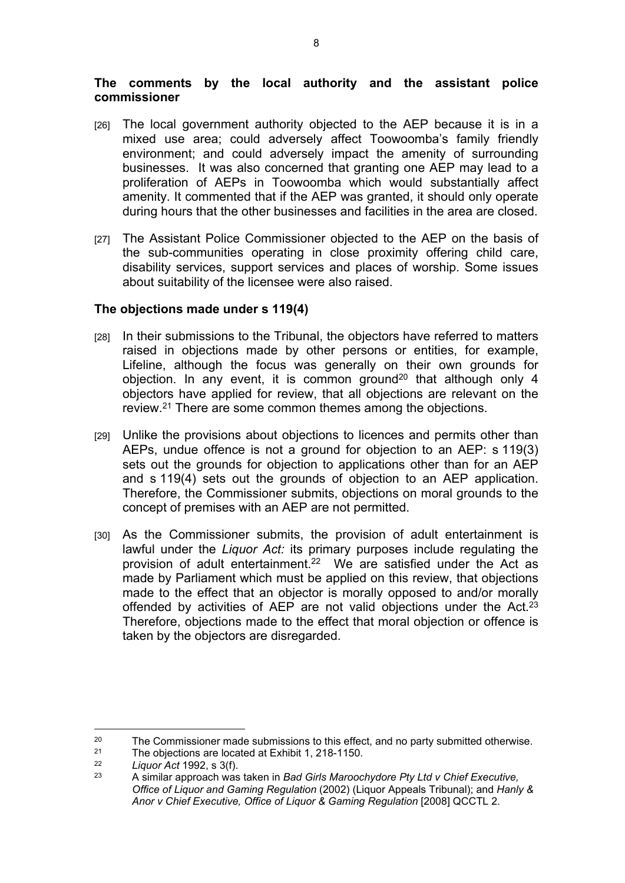### **The comments by the local authority and the assistant police commissioner**

- [26] The local government authority objected to the AEP because it is in a mixed use area; could adversely affect Toowoomba's family friendly environment; and could adversely impact the amenity of surrounding businesses. It was also concerned that granting one AEP may lead to a proliferation of AEPs in Toowoomba which would substantially affect amenity. It commented that if the AEP was granted, it should only operate during hours that the other businesses and facilities in the area are closed.
- [27] The Assistant Police Commissioner objected to the AEP on the basis of the sub-communities operating in close proximity offering child care, disability services, support services and places of worship. Some issues about suitability of the licensee were also raised.

## **The objections made under s 119(4)**

- [28] In their submissions to the Tribunal, the objectors have referred to matters raised in objections made by other persons or entities, for example, Lifeline, although the focus was generally on their own grounds for objection. In any event, it is common ground<sup>20</sup> that although only 4 objectors have applied for review, that all objections are relevant on the review.<sup>21</sup> There are some common themes among the objections.
- [29] Unlike the provisions about objections to licences and permits other than AEPs, undue offence is not a ground for objection to an AEP: s 119(3) sets out the grounds for objection to applications other than for an AEP and s 119(4) sets out the grounds of objection to an AEP application. Therefore, the Commissioner submits, objections on moral grounds to the concept of premises with an AEP are not permitted.
- [30] As the Commissioner submits, the provision of adult entertainment is lawful under the *Liquor Act:* its primary purposes include regulating the provision of adult entertainment.<sup>22</sup> We are satisfied under the Act as made by Parliament which must be applied on this review, that objections made to the effect that an objector is morally opposed to and/or morally offended by activities of AEP are not valid objections under the Act.<sup>23</sup> Therefore, objections made to the effect that moral objection or offence is taken by the objectors are disregarded.

<sup>&</sup>lt;sup>20</sup> The Commissioner made submissions to this effect, and no party submitted otherwise.<br><sup>21</sup> The objections are located at Exhibit 1, 218-1150

<sup>&</sup>lt;sup>21</sup> The objections are located at Exhibit 1, 218-1150.<br>  $\frac{22}{1}$  Liquor Act 1992 s 3(f)

<sup>22</sup> *Liquor Act* 1992, s 3(f).

<sup>23</sup> A similar approach was taken in *Bad Girls Maroochydore Pty Ltd v Chief Executive, Office of Liquor and Gaming Regulation* (2002) (Liquor Appeals Tribunal); and *Hanly & Anor v Chief Executive, Office of Liquor & Gaming Regulation* [2008] QCCTL 2.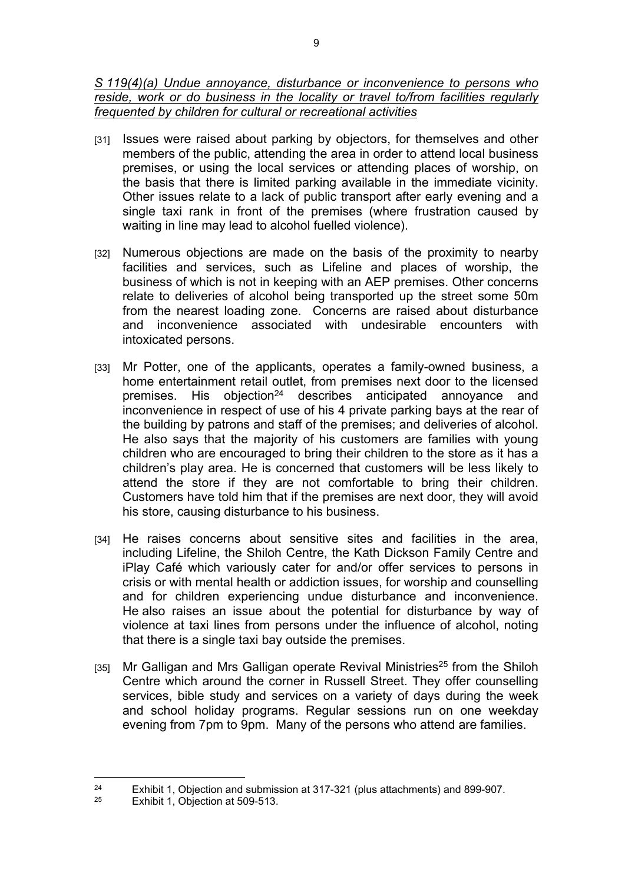*S 119(4)(a) Undue annoyance, disturbance or inconvenience to persons who reside, work or do business in the locality or travel to/from facilities regularly frequented by children for cultural or recreational activities* 

- [31] Issues were raised about parking by objectors, for themselves and other members of the public, attending the area in order to attend local business premises, or using the local services or attending places of worship, on the basis that there is limited parking available in the immediate vicinity. Other issues relate to a lack of public transport after early evening and a single taxi rank in front of the premises (where frustration caused by waiting in line may lead to alcohol fuelled violence).
- [32] Numerous objections are made on the basis of the proximity to nearby facilities and services, such as Lifeline and places of worship, the business of which is not in keeping with an AEP premises. Other concerns relate to deliveries of alcohol being transported up the street some 50m from the nearest loading zone. Concerns are raised about disturbance and inconvenience associated with undesirable encounters with intoxicated persons.
- [33] Mr Potter, one of the applicants, operates a family-owned business, a home entertainment retail outlet, from premises next door to the licensed premises. His objection<sup>24</sup> describes anticipated annoyance and inconvenience in respect of use of his 4 private parking bays at the rear of the building by patrons and staff of the premises; and deliveries of alcohol. He also says that the majority of his customers are families with young children who are encouraged to bring their children to the store as it has a children's play area. He is concerned that customers will be less likely to attend the store if they are not comfortable to bring their children. Customers have told him that if the premises are next door, they will avoid his store, causing disturbance to his business.
- [34] He raises concerns about sensitive sites and facilities in the area, including Lifeline, the Shiloh Centre, the Kath Dickson Family Centre and iPlay Café which variously cater for and/or offer services to persons in crisis or with mental health or addiction issues, for worship and counselling and for children experiencing undue disturbance and inconvenience. He also raises an issue about the potential for disturbance by way of violence at taxi lines from persons under the influence of alcohol, noting that there is a single taxi bay outside the premises.
- [35] Mr Galligan and Mrs Galligan operate Revival Ministries<sup>25</sup> from the Shiloh Centre which around the corner in Russell Street. They offer counselling services, bible study and services on a variety of days during the week and school holiday programs. Regular sessions run on one weekday evening from 7pm to 9pm. Many of the persons who attend are families.

<sup>&</sup>lt;sup>24</sup> Exhibit 1, Objection and submission at 317-321 (plus attachments) and 899-907.<br><sup>25</sup> Exhibit 1, Objection at 500, 513

Exhibit 1, Objection at 509-513.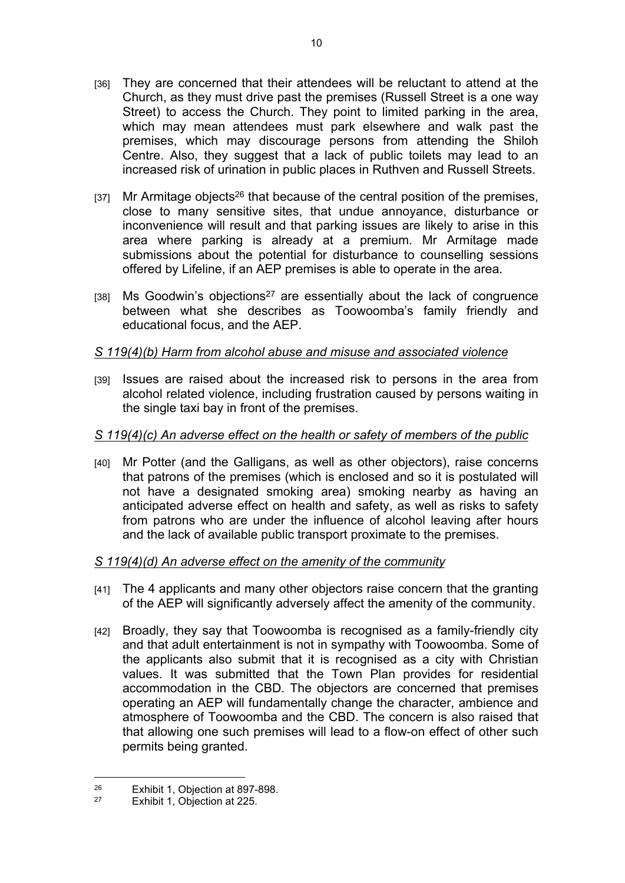- [36] They are concerned that their attendees will be reluctant to attend at the Church, as they must drive past the premises (Russell Street is a one way Street) to access the Church. They point to limited parking in the area, which may mean attendees must park elsewhere and walk past the premises, which may discourage persons from attending the Shiloh Centre. Also, they suggest that a lack of public toilets may lead to an increased risk of urination in public places in Ruthven and Russell Streets.
- $[37]$  Mr Armitage objects<sup>26</sup> that because of the central position of the premises, close to many sensitive sites, that undue annoyance, disturbance or inconvenience will result and that parking issues are likely to arise in this area where parking is already at a premium. Mr Armitage made submissions about the potential for disturbance to counselling sessions offered by Lifeline, if an AEP premises is able to operate in the area.
- [38] Ms Goodwin's objections<sup>27</sup> are essentially about the lack of congruence between what she describes as Toowoomba's family friendly and educational focus, and the AEP.

## *S 119(4)(b) Harm from alcohol abuse and misuse and associated violence*

[39] Issues are raised about the increased risk to persons in the area from alcohol related violence, including frustration caused by persons waiting in the single taxi bay in front of the premises.

# *S 119(4)(c) An adverse effect on the health or safety of members of the public*

[40] Mr Potter (and the Galligans, as well as other objectors), raise concerns that patrons of the premises (which is enclosed and so it is postulated will not have a designated smoking area) smoking nearby as having an anticipated adverse effect on health and safety, as well as risks to safety from patrons who are under the influence of alcohol leaving after hours and the lack of available public transport proximate to the premises.

## *S 119(4)(d) An adverse effect on the amenity of the community*

- [41] The 4 applicants and many other objectors raise concern that the granting of the AEP will significantly adversely affect the amenity of the community.
- [42] Broadly, they say that Toowoomba is recognised as a family-friendly city and that adult entertainment is not in sympathy with Toowoomba. Some of the applicants also submit that it is recognised as a city with Christian values. It was submitted that the Town Plan provides for residential accommodation in the CBD. The objectors are concerned that premises operating an AEP will fundamentally change the character, ambience and atmosphere of Toowoomba and the CBD. The concern is also raised that that allowing one such premises will lead to a flow-on effect of other such permits being granted.

 $26$  Exhibit 1, Objection at 897-898.<br>  $27$  Exhibit 1, Objection at 225

Exhibit 1, Objection at 225.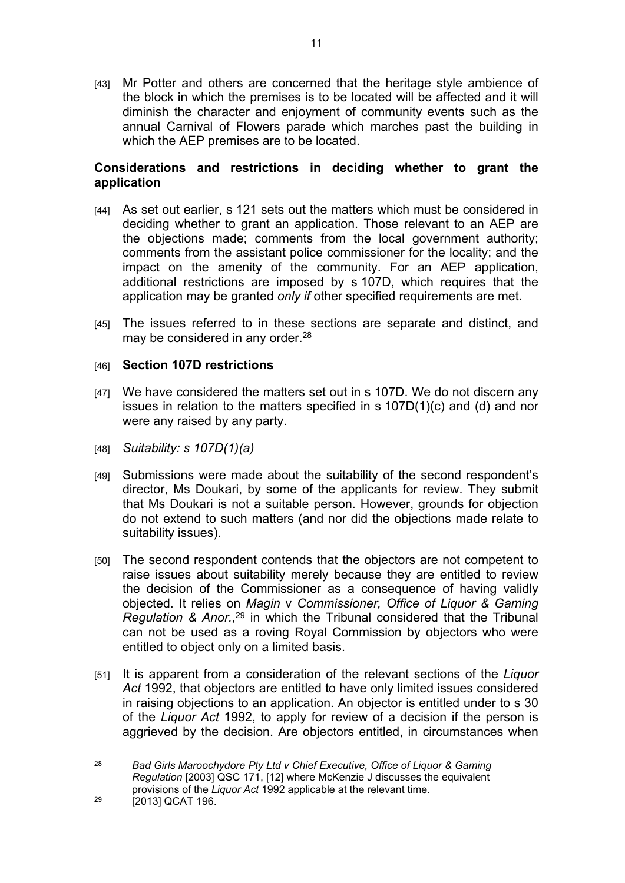[43] Mr Potter and others are concerned that the heritage style ambience of the block in which the premises is to be located will be affected and it will diminish the character and enjoyment of community events such as the annual Carnival of Flowers parade which marches past the building in which the AEP premises are to be located.

11

## **Considerations and restrictions in deciding whether to grant the application**

- [44] As set out earlier, s 121 sets out the matters which must be considered in deciding whether to grant an application. Those relevant to an AEP are the objections made; comments from the local government authority; comments from the assistant police commissioner for the locality; and the impact on the amenity of the community. For an AEP application, additional restrictions are imposed by s 107D, which requires that the application may be granted *only if* other specified requirements are met.
- [45] The issues referred to in these sections are separate and distinct, and may be considered in any order.<sup>28</sup>

## [46] **Section 107D restrictions**

- [47] We have considered the matters set out in s 107D. We do not discern any issues in relation to the matters specified in s 107D(1)(c) and (d) and nor were any raised by any party.
- [48] *Suitability: s 107D(1)(a)*
- [49] Submissions were made about the suitability of the second respondent's director, Ms Doukari, by some of the applicants for review. They submit that Ms Doukari is not a suitable person. However, grounds for objection do not extend to such matters (and nor did the objections made relate to suitability issues).
- [50] The second respondent contends that the objectors are not competent to raise issues about suitability merely because they are entitled to review the decision of the Commissioner as a consequence of having validly objected. It relies on *Magin* v *Commissioner, Office of Liquor & Gaming Regulation & Anor.*, <sup>29</sup> in which the Tribunal considered that the Tribunal can not be used as a roving Royal Commission by objectors who were entitled to object only on a limited basis.
- [51] It is apparent from a consideration of the relevant sections of the *Liquor Act* 1992, that objectors are entitled to have only limited issues considered in raising objections to an application. An objector is entitled under to s 30 of the *Liquor Act* 1992, to apply for review of a decision if the person is aggrieved by the decision. Are objectors entitled, in circumstances when

<sup>28</sup> *Bad Girls Maroochydore Pty Ltd v Chief Executive, Office of Liquor & Gaming Regulation* [2003] QSC 171, [12] where McKenzie J discusses the equivalent provisions of the *Liquor Act* 1992 applicable at the relevant time.

<sup>&</sup>lt;sup>29</sup> [2013] QCAT 196.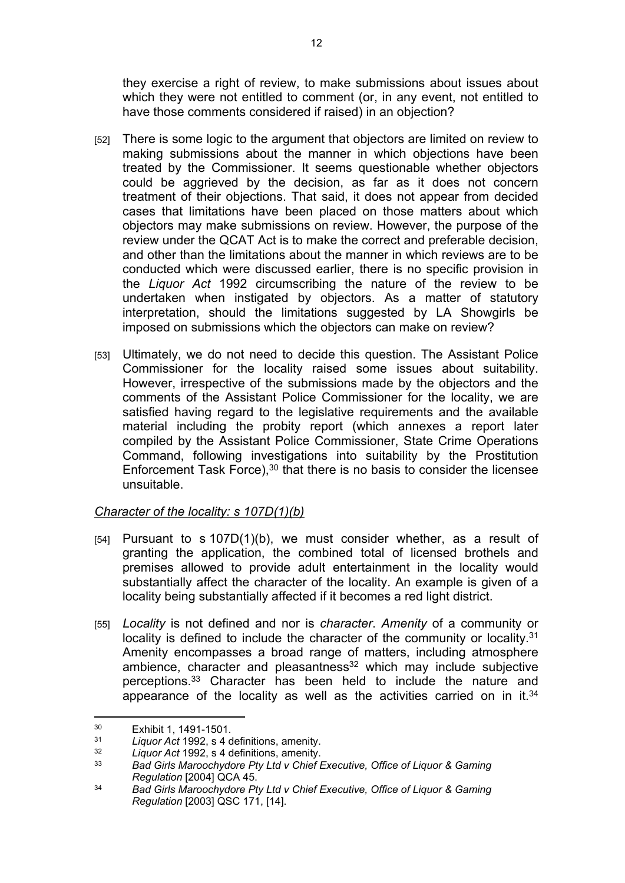they exercise a right of review, to make submissions about issues about which they were not entitled to comment (or, in any event, not entitled to have those comments considered if raised) in an objection?

- [52] There is some logic to the argument that objectors are limited on review to making submissions about the manner in which objections have been treated by the Commissioner. It seems questionable whether objectors could be aggrieved by the decision, as far as it does not concern treatment of their objections. That said, it does not appear from decided cases that limitations have been placed on those matters about which objectors may make submissions on review. However, the purpose of the review under the QCAT Act is to make the correct and preferable decision, and other than the limitations about the manner in which reviews are to be conducted which were discussed earlier, there is no specific provision in the *Liquor Act* 1992 circumscribing the nature of the review to be undertaken when instigated by objectors. As a matter of statutory interpretation, should the limitations suggested by LA Showgirls be imposed on submissions which the objectors can make on review?
- [53] Ultimately, we do not need to decide this question. The Assistant Police Commissioner for the locality raised some issues about suitability. However, irrespective of the submissions made by the objectors and the comments of the Assistant Police Commissioner for the locality, we are satisfied having regard to the legislative requirements and the available material including the probity report (which annexes a report later compiled by the Assistant Police Commissioner, State Crime Operations Command, following investigations into suitability by the Prostitution Enforcement Task Force),  $30$  that there is no basis to consider the licensee unsuitable.

# *Character of the locality: s 107D(1)(b)*

- [54] Pursuant to s 107D(1)(b), we must consider whether, as a result of granting the application, the combined total of licensed brothels and premises allowed to provide adult entertainment in the locality would substantially affect the character of the locality. An example is given of a locality being substantially affected if it becomes a red light district.
- [55] *Locality* is not defined and nor is *character*. *Amenity* of a community or locality is defined to include the character of the community or locality.<sup>31</sup> Amenity encompasses a broad range of matters, including atmosphere ambience, character and pleasantness<sup>32</sup> which may include subjective perceptions.<sup>33</sup> Character has been held to include the nature and appearance of the locality as well as the activities carried on in it. $34$

<sup>&</sup>lt;sup>30</sup> Exhibit 1, 1491-1501.

<sup>31</sup> *Liquor Act* 1992, s 4 definitions, amenity.

<sup>32</sup> *Liquor Act* 1992, s 4 definitions, amenity.

<sup>33</sup> *Bad Girls Maroochydore Pty Ltd v Chief Executive, Office of Liquor & Gaming Regulation* [2004] QCA 45.

<sup>34</sup> *Bad Girls Maroochydore Pty Ltd v Chief Executive, Office of Liquor & Gaming Regulation* [2003] QSC 171, [14].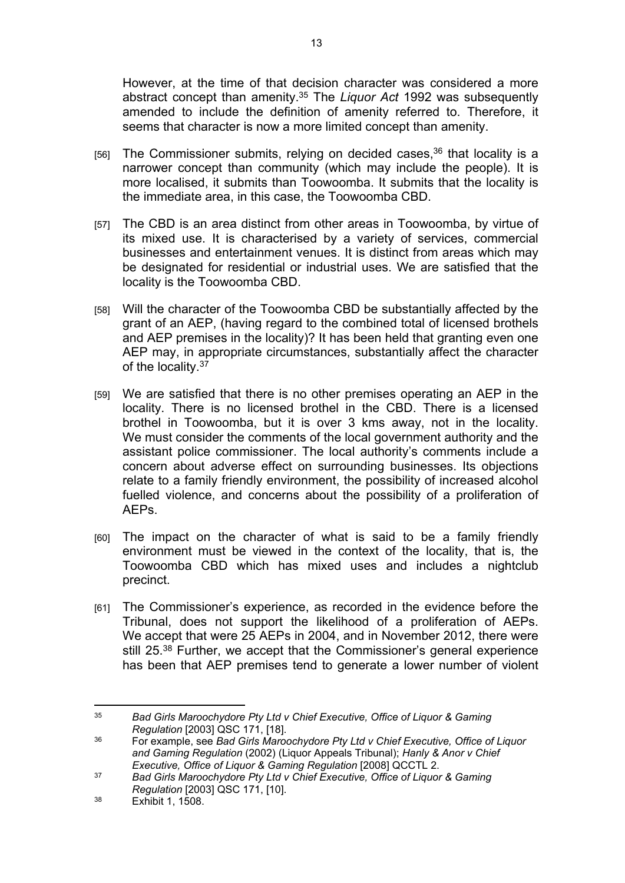However, at the time of that decision character was considered a more abstract concept than amenity.<sup>35</sup> The *Liquor Act* 1992 was subsequently amended to include the definition of amenity referred to. Therefore, it seems that character is now a more limited concept than amenity.

- [56] The Commissioner submits, relying on decided cases,  $36$  that locality is a narrower concept than community (which may include the people). It is more localised, it submits than Toowoomba. It submits that the locality is the immediate area, in this case, the Toowoomba CBD.
- [57] The CBD is an area distinct from other areas in Toowoomba, by virtue of its mixed use. It is characterised by a variety of services, commercial businesses and entertainment venues. It is distinct from areas which may be designated for residential or industrial uses. We are satisfied that the locality is the Toowoomba CBD.
- [58] Will the character of the Toowoomba CBD be substantially affected by the grant of an AEP, (having regard to the combined total of licensed brothels and AEP premises in the locality)? It has been held that granting even one AEP may, in appropriate circumstances, substantially affect the character of the locality.<sup>37</sup>
- [59] We are satisfied that there is no other premises operating an AEP in the locality. There is no licensed brothel in the CBD. There is a licensed brothel in Toowoomba, but it is over 3 kms away, not in the locality. We must consider the comments of the local government authority and the assistant police commissioner. The local authority's comments include a concern about adverse effect on surrounding businesses. Its objections relate to a family friendly environment, the possibility of increased alcohol fuelled violence, and concerns about the possibility of a proliferation of AEPs.
- [60] The impact on the character of what is said to be a family friendly environment must be viewed in the context of the locality, that is, the Toowoomba CBD which has mixed uses and includes a nightclub precinct.
- [61] The Commissioner's experience, as recorded in the evidence before the Tribunal, does not support the likelihood of a proliferation of AEPs. We accept that were 25 AEPs in 2004, and in November 2012, there were still 25.<sup>38</sup> Further, we accept that the Commissioner's general experience has been that AEP premises tend to generate a lower number of violent

<sup>35</sup> *Bad Girls Maroochydore Pty Ltd v Chief Executive, Office of Liquor & Gaming Regulation* [2003] QSC 171, [18].

<sup>36</sup> For example, see *Bad Girls Maroochydore Pty Ltd v Chief Executive, Office of Liquor and Gaming Regulation* (2002) (Liquor Appeals Tribunal); *Hanly & Anor v Chief Executive, Office of Liquor & Gaming Regulation* [2008] QCCTL 2.

<sup>37</sup> *Bad Girls Maroochydore Pty Ltd v Chief Executive, Office of Liquor & Gaming Regulation* [2003] QSC 171, [10].

<sup>38</sup> Exhibit 1, 1508.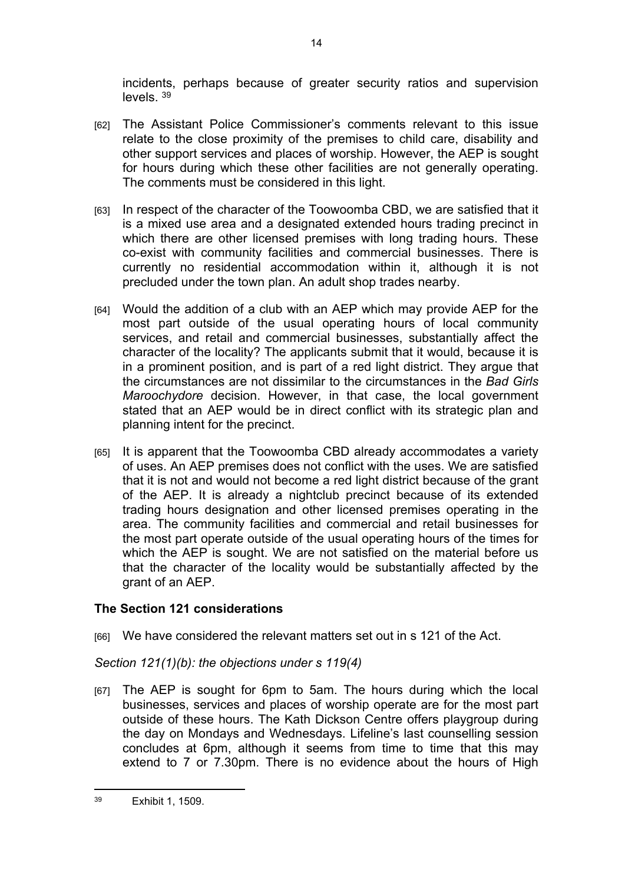incidents, perhaps because of greater security ratios and supervision levels. <sup>39</sup>

- [62] The Assistant Police Commissioner's comments relevant to this issue relate to the close proximity of the premises to child care, disability and other support services and places of worship. However, the AEP is sought for hours during which these other facilities are not generally operating. The comments must be considered in this light.
- [63] In respect of the character of the Toowoomba CBD, we are satisfied that it is a mixed use area and a designated extended hours trading precinct in which there are other licensed premises with long trading hours. These co-exist with community facilities and commercial businesses. There is currently no residential accommodation within it, although it is not precluded under the town plan. An adult shop trades nearby.
- [64] Would the addition of a club with an AEP which may provide AEP for the most part outside of the usual operating hours of local community services, and retail and commercial businesses, substantially affect the character of the locality? The applicants submit that it would, because it is in a prominent position, and is part of a red light district. They argue that the circumstances are not dissimilar to the circumstances in the *Bad Girls Maroochydore* decision. However, in that case, the local government stated that an AEP would be in direct conflict with its strategic plan and planning intent for the precinct.
- [65] It is apparent that the Toowoomba CBD already accommodates a variety of uses. An AEP premises does not conflict with the uses. We are satisfied that it is not and would not become a red light district because of the grant of the AEP. It is already a nightclub precinct because of its extended trading hours designation and other licensed premises operating in the area. The community facilities and commercial and retail businesses for the most part operate outside of the usual operating hours of the times for which the AEP is sought. We are not satisfied on the material before us that the character of the locality would be substantially affected by the grant of an AEP.

# **The Section 121 considerations**

[66] We have considered the relevant matters set out in s 121 of the Act.

# *Section 121(1)(b): the objections under s 119(4)*

[67] The AEP is sought for 6pm to 5am. The hours during which the local businesses, services and places of worship operate are for the most part outside of these hours. The Kath Dickson Centre offers playgroup during the day on Mondays and Wednesdays. Lifeline's last counselling session concludes at 6pm, although it seems from time to time that this may extend to 7 or 7.30pm. There is no evidence about the hours of High

<sup>39</sup> Exhibit 1, 1509.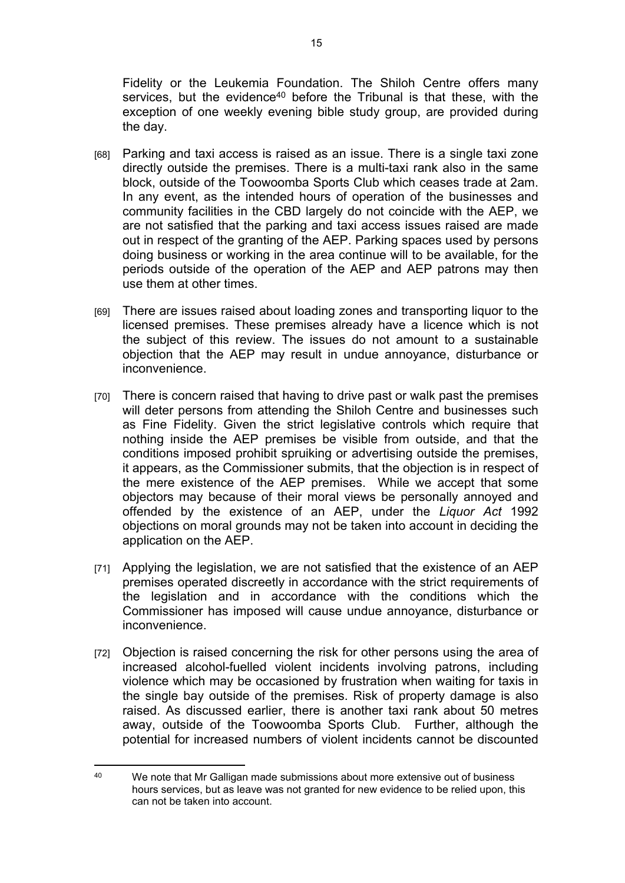Fidelity or the Leukemia Foundation. The Shiloh Centre offers many services, but the evidence<sup>40</sup> before the Tribunal is that these, with the exception of one weekly evening bible study group, are provided during the day.

- [68] Parking and taxi access is raised as an issue. There is a single taxi zone directly outside the premises. There is a multi-taxi rank also in the same block, outside of the Toowoomba Sports Club which ceases trade at 2am. In any event, as the intended hours of operation of the businesses and community facilities in the CBD largely do not coincide with the AEP, we are not satisfied that the parking and taxi access issues raised are made out in respect of the granting of the AEP. Parking spaces used by persons doing business or working in the area continue will to be available, for the periods outside of the operation of the AEP and AEP patrons may then use them at other times.
- [69] There are issues raised about loading zones and transporting liquor to the licensed premises. These premises already have a licence which is not the subject of this review. The issues do not amount to a sustainable objection that the AEP may result in undue annoyance, disturbance or inconvenience.
- [70] There is concern raised that having to drive past or walk past the premises will deter persons from attending the Shiloh Centre and businesses such as Fine Fidelity. Given the strict legislative controls which require that nothing inside the AEP premises be visible from outside, and that the conditions imposed prohibit spruiking or advertising outside the premises, it appears, as the Commissioner submits, that the objection is in respect of the mere existence of the AEP premises. While we accept that some objectors may because of their moral views be personally annoyed and offended by the existence of an AEP, under the *Liquor Act* 1992 objections on moral grounds may not be taken into account in deciding the application on the AEP.
- [71] Applying the legislation, we are not satisfied that the existence of an AEP premises operated discreetly in accordance with the strict requirements of the legislation and in accordance with the conditions which the Commissioner has imposed will cause undue annoyance, disturbance or inconvenience.
- [72] Objection is raised concerning the risk for other persons using the area of increased alcohol-fuelled violent incidents involving patrons, including violence which may be occasioned by frustration when waiting for taxis in the single bay outside of the premises. Risk of property damage is also raised. As discussed earlier, there is another taxi rank about 50 metres away, outside of the Toowoomba Sports Club. Further, although the potential for increased numbers of violent incidents cannot be discounted

<sup>40</sup> We note that Mr Galligan made submissions about more extensive out of business hours services, but as leave was not granted for new evidence to be relied upon, this can not be taken into account.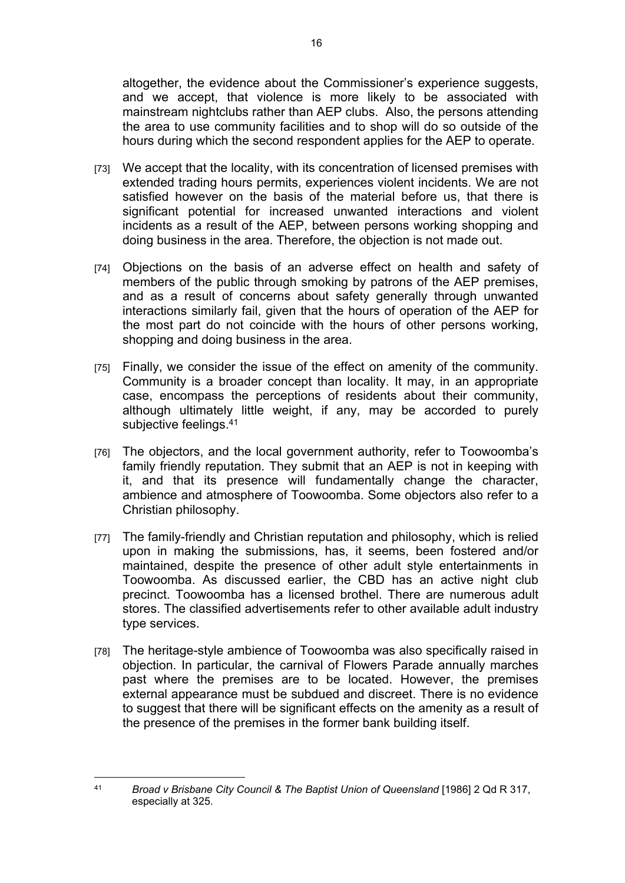altogether, the evidence about the Commissioner's experience suggests, and we accept, that violence is more likely to be associated with mainstream nightclubs rather than AEP clubs. Also, the persons attending the area to use community facilities and to shop will do so outside of the hours during which the second respondent applies for the AEP to operate.

- [73] We accept that the locality, with its concentration of licensed premises with extended trading hours permits, experiences violent incidents. We are not satisfied however on the basis of the material before us, that there is significant potential for increased unwanted interactions and violent incidents as a result of the AEP, between persons working shopping and doing business in the area. Therefore, the objection is not made out.
- [74] Objections on the basis of an adverse effect on health and safety of members of the public through smoking by patrons of the AEP premises, and as a result of concerns about safety generally through unwanted interactions similarly fail, given that the hours of operation of the AEP for the most part do not coincide with the hours of other persons working, shopping and doing business in the area.
- [75] Finally, we consider the issue of the effect on amenity of the community. Community is a broader concept than locality. It may, in an appropriate case, encompass the perceptions of residents about their community, although ultimately little weight, if any, may be accorded to purely subjective feelings.<sup>41</sup>
- [76] The objectors, and the local government authority, refer to Toowoomba's family friendly reputation. They submit that an AEP is not in keeping with it, and that its presence will fundamentally change the character, ambience and atmosphere of Toowoomba. Some objectors also refer to a Christian philosophy.
- [77] The family-friendly and Christian reputation and philosophy, which is relied upon in making the submissions, has, it seems, been fostered and/or maintained, despite the presence of other adult style entertainments in Toowoomba. As discussed earlier, the CBD has an active night club precinct. Toowoomba has a licensed brothel. There are numerous adult stores. The classified advertisements refer to other available adult industry type services.
- [78] The heritage-style ambience of Toowoomba was also specifically raised in objection. In particular, the carnival of Flowers Parade annually marches past where the premises are to be located. However, the premises external appearance must be subdued and discreet. There is no evidence to suggest that there will be significant effects on the amenity as a result of the presence of the premises in the former bank building itself.

<sup>41</sup> *Broad v Brisbane City Council & The Baptist Union of Queensland* [1986] 2 Qd R 317, especially at 325.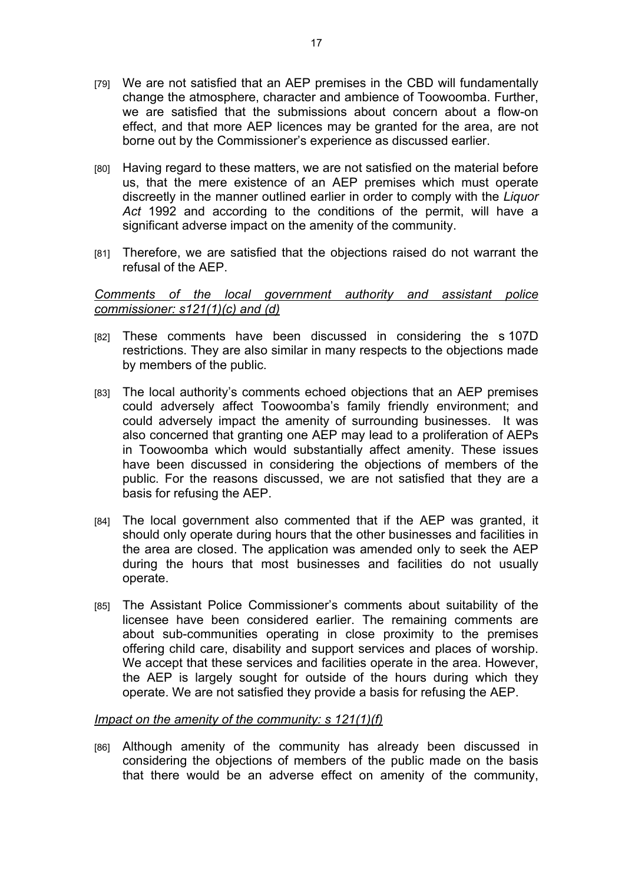- [79] We are not satisfied that an AEP premises in the CBD will fundamentally change the atmosphere, character and ambience of Toowoomba. Further, we are satisfied that the submissions about concern about a flow-on effect, and that more AEP licences may be granted for the area, are not borne out by the Commissioner's experience as discussed earlier.
- [80] Having regard to these matters, we are not satisfied on the material before us, that the mere existence of an AEP premises which must operate discreetly in the manner outlined earlier in order to comply with the *Liquor Act* 1992 and according to the conditions of the permit, will have a significant adverse impact on the amenity of the community.
- [81] Therefore, we are satisfied that the objections raised do not warrant the refusal of the AEP.

### *Comments of the local government authority and assistant police commissioner: s121(1)(c) and (d)*

- [82] These comments have been discussed in considering the s 107D restrictions. They are also similar in many respects to the objections made by members of the public.
- [83] The local authority's comments echoed objections that an AEP premises could adversely affect Toowoomba's family friendly environment; and could adversely impact the amenity of surrounding businesses. It was also concerned that granting one AEP may lead to a proliferation of AEPs in Toowoomba which would substantially affect amenity. These issues have been discussed in considering the objections of members of the public. For the reasons discussed, we are not satisfied that they are a basis for refusing the AEP.
- [84] The local government also commented that if the AEP was granted, it should only operate during hours that the other businesses and facilities in the area are closed. The application was amended only to seek the AEP during the hours that most businesses and facilities do not usually operate.
- [85] The Assistant Police Commissioner's comments about suitability of the licensee have been considered earlier. The remaining comments are about sub-communities operating in close proximity to the premises offering child care, disability and support services and places of worship. We accept that these services and facilities operate in the area. However, the AEP is largely sought for outside of the hours during which they operate. We are not satisfied they provide a basis for refusing the AEP.

#### *Impact on the amenity of the community: s 121(1)(f)*

[86] Although amenity of the community has already been discussed in considering the objections of members of the public made on the basis that there would be an adverse effect on amenity of the community,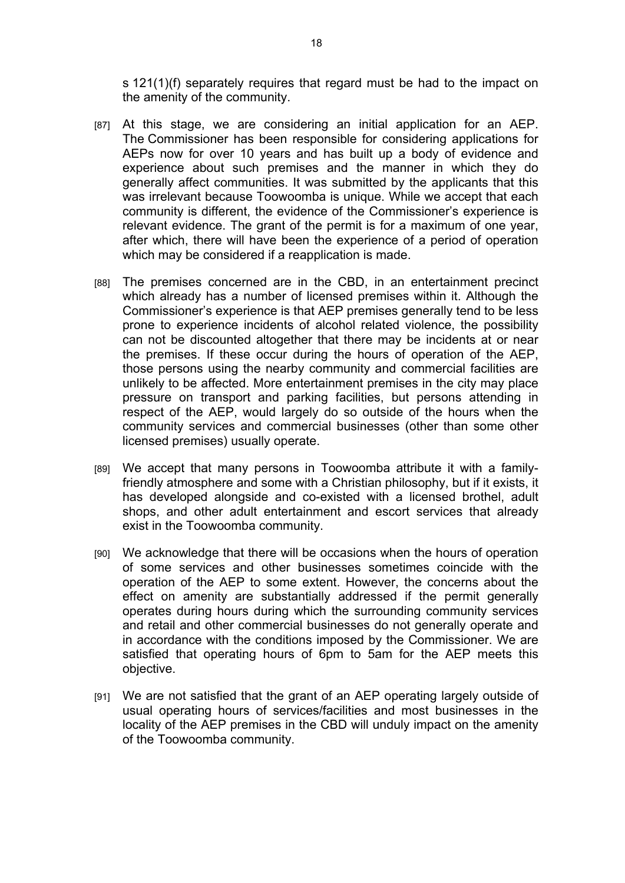s 121(1)(f) separately requires that regard must be had to the impact on the amenity of the community.

- [87] At this stage, we are considering an initial application for an AEP. The Commissioner has been responsible for considering applications for AEPs now for over 10 years and has built up a body of evidence and experience about such premises and the manner in which they do generally affect communities. It was submitted by the applicants that this was irrelevant because Toowoomba is unique. While we accept that each community is different, the evidence of the Commissioner's experience is relevant evidence. The grant of the permit is for a maximum of one year, after which, there will have been the experience of a period of operation which may be considered if a reapplication is made.
- [88] The premises concerned are in the CBD, in an entertainment precinct which already has a number of licensed premises within it. Although the Commissioner's experience is that AEP premises generally tend to be less prone to experience incidents of alcohol related violence, the possibility can not be discounted altogether that there may be incidents at or near the premises. If these occur during the hours of operation of the AEP, those persons using the nearby community and commercial facilities are unlikely to be affected. More entertainment premises in the city may place pressure on transport and parking facilities, but persons attending in respect of the AEP, would largely do so outside of the hours when the community services and commercial businesses (other than some other licensed premises) usually operate.
- [89] We accept that many persons in Toowoomba attribute it with a familyfriendly atmosphere and some with a Christian philosophy, but if it exists, it has developed alongside and co-existed with a licensed brothel, adult shops, and other adult entertainment and escort services that already exist in the Toowoomba community.
- [90] We acknowledge that there will be occasions when the hours of operation of some services and other businesses sometimes coincide with the operation of the AEP to some extent. However, the concerns about the effect on amenity are substantially addressed if the permit generally operates during hours during which the surrounding community services and retail and other commercial businesses do not generally operate and in accordance with the conditions imposed by the Commissioner. We are satisfied that operating hours of 6pm to 5am for the AEP meets this objective.
- [91] We are not satisfied that the grant of an AEP operating largely outside of usual operating hours of services/facilities and most businesses in the locality of the AEP premises in the CBD will unduly impact on the amenity of the Toowoomba community.